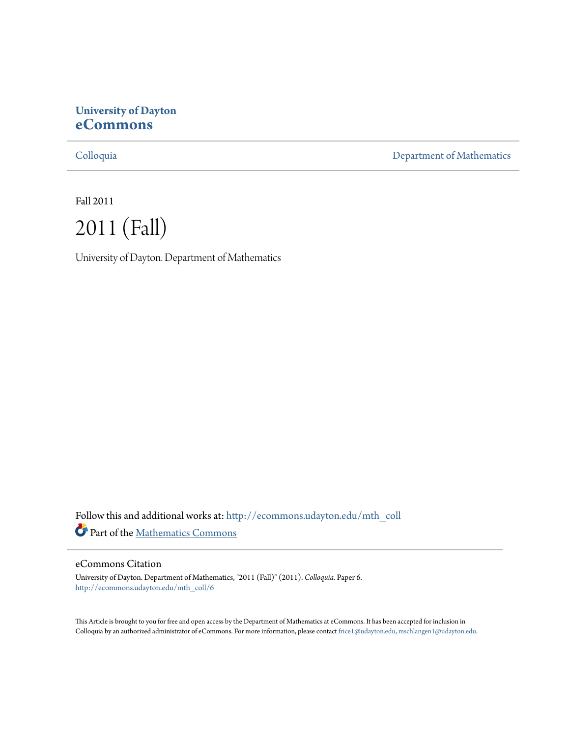# **University of Dayton [eCommons](http://ecommons.udayton.edu?utm_source=ecommons.udayton.edu%2Fmth_coll%2F6&utm_medium=PDF&utm_campaign=PDFCoverPages)**

[Colloquia](http://ecommons.udayton.edu/mth_coll?utm_source=ecommons.udayton.edu%2Fmth_coll%2F6&utm_medium=PDF&utm_campaign=PDFCoverPages) [Department of Mathematics](http://ecommons.udayton.edu/mth?utm_source=ecommons.udayton.edu%2Fmth_coll%2F6&utm_medium=PDF&utm_campaign=PDFCoverPages)

Fall 2011



University of Dayton. Department of Mathematics

Follow this and additional works at: [http://ecommons.udayton.edu/mth\\_coll](http://ecommons.udayton.edu/mth_coll?utm_source=ecommons.udayton.edu%2Fmth_coll%2F6&utm_medium=PDF&utm_campaign=PDFCoverPages) Part of the [Mathematics Commons](http://network.bepress.com/hgg/discipline/174?utm_source=ecommons.udayton.edu%2Fmth_coll%2F6&utm_medium=PDF&utm_campaign=PDFCoverPages)

### eCommons Citation

University of Dayton. Department of Mathematics, "2011 (Fall)" (2011). *Colloquia.* Paper 6. [http://ecommons.udayton.edu/mth\\_coll/6](http://ecommons.udayton.edu/mth_coll/6?utm_source=ecommons.udayton.edu%2Fmth_coll%2F6&utm_medium=PDF&utm_campaign=PDFCoverPages)

This Article is brought to you for free and open access by the Department of Mathematics at eCommons. It has been accepted for inclusion in Colloquia by an authorized administrator of eCommons. For more information, please contact [frice1@udayton.edu, mschlangen1@udayton.edu.](mailto:frice1@udayton.edu,%20mschlangen1@udayton.edu)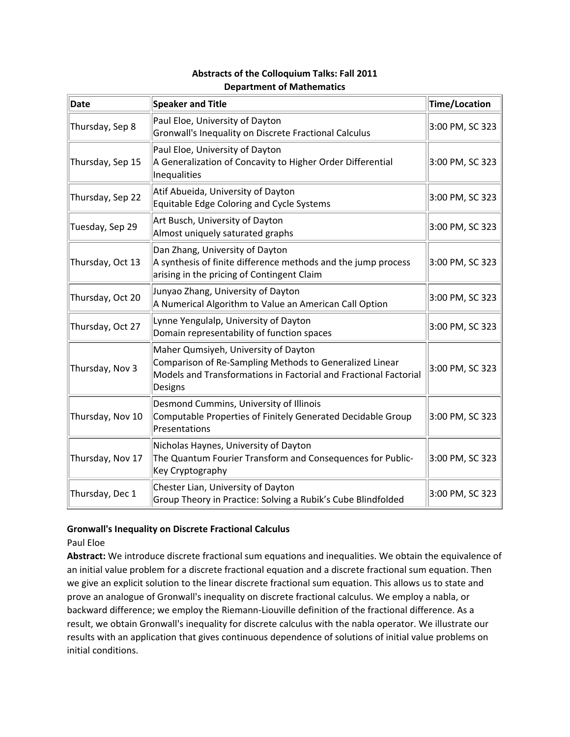| Date             | <b>Speaker and Title</b>                                                                                                                                                       | Time/Location   |
|------------------|--------------------------------------------------------------------------------------------------------------------------------------------------------------------------------|-----------------|
| Thursday, Sep 8  | Paul Eloe, University of Dayton<br>Gronwall's Inequality on Discrete Fractional Calculus                                                                                       | 3:00 PM, SC 323 |
| Thursday, Sep 15 | Paul Eloe, University of Dayton<br>A Generalization of Concavity to Higher Order Differential<br>Inequalities                                                                  | 3:00 PM, SC 323 |
| Thursday, Sep 22 | Atif Abueida, University of Dayton<br>Equitable Edge Coloring and Cycle Systems                                                                                                | 3:00 PM, SC 323 |
| Tuesday, Sep 29  | Art Busch, University of Dayton<br>Almost uniquely saturated graphs                                                                                                            | 3:00 PM, SC 323 |
| Thursday, Oct 13 | Dan Zhang, University of Dayton<br>A synthesis of finite difference methods and the jump process<br>arising in the pricing of Contingent Claim                                 | 3:00 PM, SC 323 |
| Thursday, Oct 20 | Junyao Zhang, University of Dayton<br>A Numerical Algorithm to Value an American Call Option                                                                                   | 3:00 PM, SC 323 |
| Thursday, Oct 27 | Lynne Yengulalp, University of Dayton<br>Domain representability of function spaces                                                                                            | 3:00 PM, SC 323 |
| Thursday, Nov 3  | Maher Qumsiyeh, University of Dayton<br>Comparison of Re-Sampling Methods to Generalized Linear<br>Models and Transformations in Factorial and Fractional Factorial<br>Designs | 3:00 PM, SC 323 |
| Thursday, Nov 10 | Desmond Cummins, University of Illinois<br>Computable Properties of Finitely Generated Decidable Group<br>Presentations                                                        | 3:00 PM, SC 323 |
| Thursday, Nov 17 | Nicholas Haynes, University of Dayton<br>The Quantum Fourier Transform and Consequences for Public-<br>Key Cryptography                                                        | 3:00 PM, SC 323 |
| Thursday, Dec 1  | Chester Lian, University of Dayton<br>Group Theory in Practice: Solving a Rubik's Cube Blindfolded                                                                             | 3:00 PM, SC 323 |

# **Abstracts of the Colloquium Talks: Fall 2011 Department of Mathematics**

### **Gronwall's Inequality on Discrete Fractional Calculus**

### Paul Eloe

**Abstract:** We introduce discrete fractional sum equations and inequalities. We obtain the equivalence of an initial value problem for a discrete fractional equation and a discrete fractional sum equation. Then we give an explicit solution to the linear discrete fractional sum equation. This allows us to state and prove an analogue of Gronwall's inequality on discrete fractional calculus. We employ a nabla, or backward difference; we employ the Riemann‐Liouville definition of the fractional difference. As a result, we obtain Gronwall's inequality for discrete calculus with the nabla operator. We illustrate our results with an application that gives continuous dependence of solutions of initial value problems on initial conditions.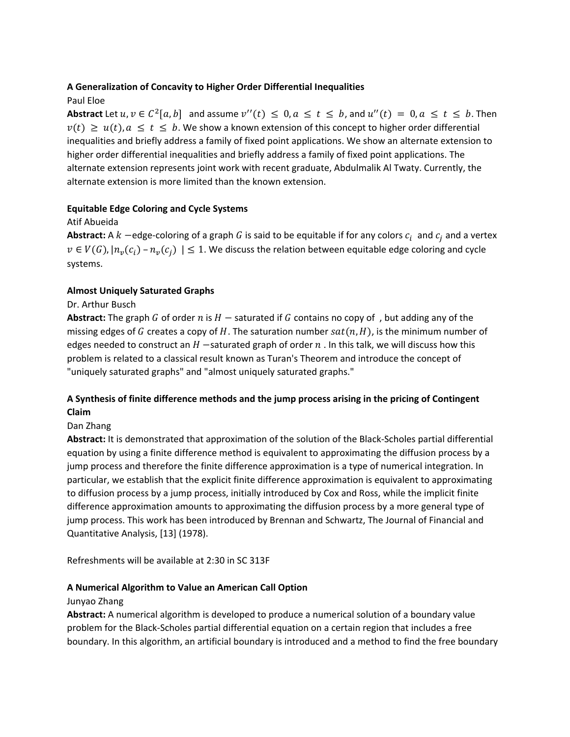# **A Generalization of Concavity to Higher Order Differential Inequalities**

# Paul Eloe

**Abstract** Let  $u, v \in C^2[a, b]$  and assume  $v''(t) \leq 0, a \leq t \leq b$ , and  $u''(t) = 0, a \leq t \leq b$ . Then  $v(t) \ge u(t)$ ,  $a \le t \le b$ . We show a known extension of this concept to higher order differential inequalities and briefly address a family of fixed point applications. We show an alternate extension to higher order differential inequalities and briefly address a family of fixed point applications. The alternate extension represents joint work with recent graduate, Abdulmalik Al Twaty. Currently, the alternate extension is more limited than the known extension.

# **Equitable Edge Coloring and Cycle Systems**

# Atif Abueida

**Abstract:** A  $k$  -edge-coloring of a graph G is said to be equitable if for any colors  $c_i$  and  $c_i$  and a vertex  $v \in V(G)$ ,  $|n_v(c_i) - n_v(c_i)| \leq 1$ . We discuss the relation between equitable edge coloring and cycle systems.

# **Almost Uniquely Saturated Graphs**

# Dr. Arthur Busch

**Abstract:** The graph G of order n is  $H$  – saturated if G contains no copy of, but adding any of the missing edges of G creates a copy of H. The saturation number  $sat(n, H)$ , is the minimum number of edges needed to construct an  $H$  -saturated graph of order  $n$ . In this talk, we will discuss how this problem is related to a classical result known as Turan's Theorem and introduce the concept of "uniquely saturated graphs" and "almost uniquely saturated graphs."

# **A Synthesis of finite difference methods and the jump process arising in the pricing of Contingent Claim**

# Dan Zhang

**Abstract:** It is demonstrated that approximation of the solution of the Black‐Scholes partial differential equation by using a finite difference method is equivalent to approximating the diffusion process by a jump process and therefore the finite difference approximation is a type of numerical integration. In particular, we establish that the explicit finite difference approximation is equivalent to approximating to diffusion process by a jump process, initially introduced by Cox and Ross, while the implicit finite difference approximation amounts to approximating the diffusion process by a more general type of jump process. This work has been introduced by Brennan and Schwartz, The Journal of Financial and Quantitative Analysis, [13] (1978).

Refreshments will be available at 2:30 in SC 313F

### **A Numerical Algorithm to Value an American Call Option**

### Junyao Zhang

**Abstract:** A numerical algorithm is developed to produce a numerical solution of a boundary value problem for the Black‐Scholes partial differential equation on a certain region that includes a free boundary. In this algorithm, an artificial boundary is introduced and a method to find the free boundary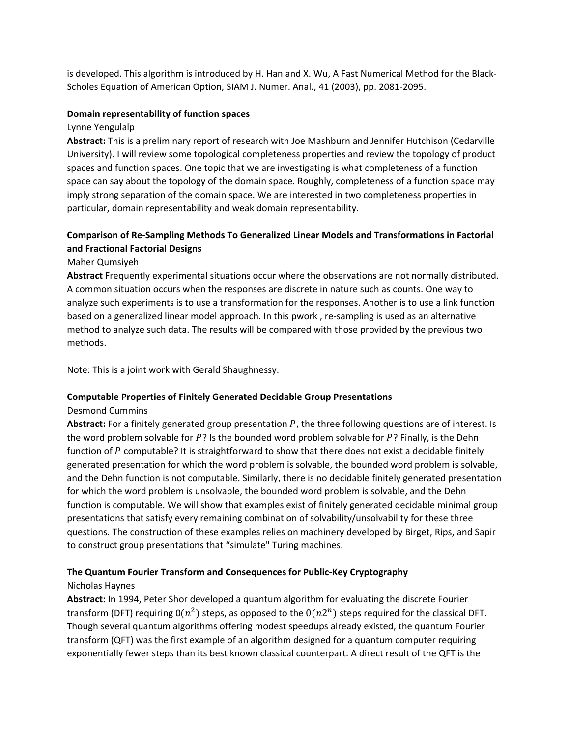is developed. This algorithm is introduced by H. Han and X. Wu, A Fast Numerical Method for the Black‐ Scholes Equation of American Option, SIAM J. Numer. Anal., 41 (2003), pp. 2081‐2095.

#### **Domain representability of function spaces**

Lynne Yengulalp

**Abstract:** This is a preliminary report of research with Joe Mashburn and Jennifer Hutchison (Cedarville University). I will review some topological completeness properties and review the topology of product spaces and function spaces. One topic that we are investigating is what completeness of a function space can say about the topology of the domain space. Roughly, completeness of a function space may imply strong separation of the domain space. We are interested in two completeness properties in particular, domain representability and weak domain representability.

# **Comparison of Re‐Sampling Methods To Generalized Linear Models and Transformations in Factorial and Fractional Factorial Designs**

Maher Qumsiyeh

**Abstract** Frequently experimental situations occur where the observations are not normally distributed. A common situation occurs when the responses are discrete in nature such as counts. One way to analyze such experiments is to use a transformation for the responses. Another is to use a link function based on a generalized linear model approach. In this pwork , re‐sampling is used as an alternative method to analyze such data. The results will be compared with those provided by the previous two methods.

Note: This is a joint work with Gerald Shaughnessy.

### **Computable Properties of Finitely Generated Decidable Group Presentations**

### Desmond Cummins

Abstract: For a finitely generated group presentation P, the three following questions are of interest. Is the word problem solvable for  $P$ ? Is the bounded word problem solvable for  $P$ ? Finally, is the Dehn function of P computable? It is straightforward to show that there does not exist a decidable finitely generated presentation for which the word problem is solvable, the bounded word problem is solvable, and the Dehn function is not computable. Similarly, there is no decidable finitely generated presentation for which the word problem is unsolvable, the bounded word problem is solvable, and the Dehn function is computable. We will show that examples exist of finitely generated decidable minimal group presentations that satisfy every remaining combination of solvability/unsolvability for these three questions. The construction of these examples relies on machinery developed by Birget, Rips, and Sapir to construct group presentations that "simulate" Turing machines.

### **The Quantum Fourier Transform and Consequences for Public‐Key Cryptography**

### Nicholas Haynes

**Abstract:** In 1994, Peter Shor developed a quantum algorithm for evaluating the discrete Fourier transform (DFT) requiring  $O(n^2)$  steps, as opposed to the  $O(n2^n)$  steps required for the classical DFT. Though several quantum algorithms offering modest speedups already existed, the quantum Fourier transform (QFT) was the first example of an algorithm designed for a quantum computer requiring exponentially fewer steps than its best known classical counterpart. A direct result of the QFT is the